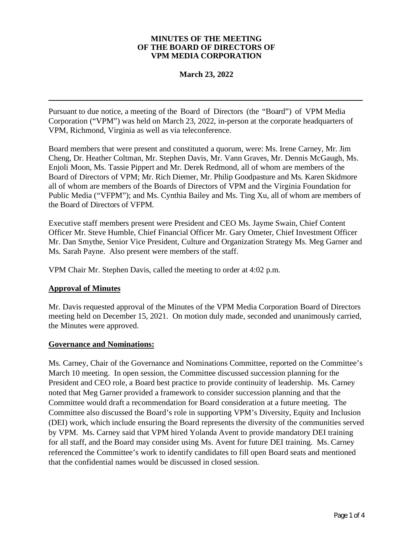#### **MINUTES OF THE MEETING OF THE BOARD OF DIRECTORS OF VPM MEDIA CORPORATION**

## **March 23, 2022**

Pursuant to due notice, a meeting of the Board of Directors (the "Board") of VPM Media Corporation ("VPM") was held on March 23, 2022, in-person at the corporate headquarters of VPM, Richmond, Virginia as well as via teleconference.

Board members that were present and constituted a quorum, were: Ms. Irene Carney, Mr. Jim Cheng, Dr. Heather Coltman, Mr. Stephen Davis, Mr. Vann Graves, Mr. Dennis McGaugh, Ms. Enjoli Moon, Ms. Tassie Pippert and Mr. Derek Redmond, all of whom are members of the Board of Directors of VPM; Mr. Rich Diemer, Mr. Philip Goodpasture and Ms. Karen Skidmore all of whom are members of the Boards of Directors of VPM and the Virginia Foundation for Public Media ("VFPM"); and Ms. Cynthia Bailey and Ms. Ting Xu, all of whom are members of the Board of Directors of VFPM.

Executive staff members present were President and CEO Ms. Jayme Swain, Chief Content Officer Mr. Steve Humble, Chief Financial Officer Mr. Gary Ometer, Chief Investment Officer Mr. Dan Smythe, Senior Vice President, Culture and Organization Strategy Ms. Meg Garner and Ms. Sarah Payne. Also present were members of the staff.

VPM Chair Mr. Stephen Davis, called the meeting to order at 4:02 p.m.

# **Approval of Minutes**

Mr. Davis requested approval of the Minutes of the VPM Media Corporation Board of Directors meeting held on December 15, 2021. On motion duly made, seconded and unanimously carried, the Minutes were approved.

## **Governance and Nominations:**

Ms. Carney, Chair of the Governance and Nominations Committee, reported on the Committee's March 10 meeting. In open session, the Committee discussed succession planning for the President and CEO role, a Board best practice to provide continuity of leadership. Ms. Carney noted that Meg Garner provided a framework to consider succession planning and that the Committee would draft a recommendation for Board consideration at a future meeting. The Committee also discussed the Board's role in supporting VPM's Diversity, Equity and Inclusion (DEI) work, which include ensuring the Board represents the diversity of the communities served by VPM. Ms. Carney said that VPM hired Yolanda Avent to provide mandatory DEI training for all staff, and the Board may consider using Ms. Avent for future DEI training. Ms. Carney referenced the Committee's work to identify candidates to fill open Board seats and mentioned that the confidential names would be discussed in closed session.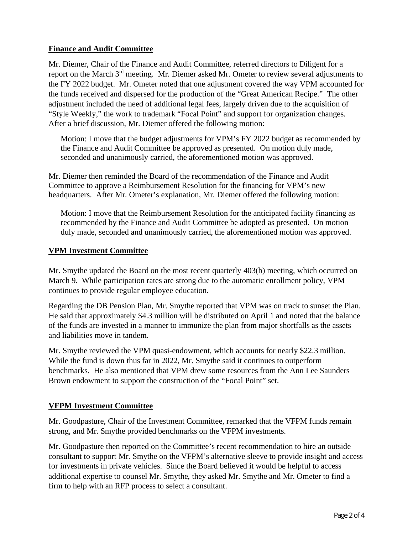# **Finance and Audit Committee**

Mr. Diemer, Chair of the Finance and Audit Committee, referred directors to Diligent for a report on the March 3rd meeting. Mr. Diemer asked Mr. Ometer to review several adjustments to the FY 2022 budget. Mr. Ometer noted that one adjustment covered the way VPM accounted for the funds received and dispersed for the production of the "Great American Recipe." The other adjustment included the need of additional legal fees, largely driven due to the acquisition of "Style Weekly," the work to trademark "Focal Point" and support for organization changes. After a brief discussion, Mr. Diemer offered the following motion:

Motion: I move that the budget adjustments for VPM's FY 2022 budget as recommended by the Finance and Audit Committee be approved as presented. On motion duly made, seconded and unanimously carried, the aforementioned motion was approved.

Mr. Diemer then reminded the Board of the recommendation of the Finance and Audit Committee to approve a Reimbursement Resolution for the financing for VPM's new headquarters. After Mr. Ometer's explanation, Mr. Diemer offered the following motion:

Motion: I move that the Reimbursement Resolution for the anticipated facility financing as recommended by the Finance and Audit Committee be adopted as presented. On motion duly made, seconded and unanimously carried, the aforementioned motion was approved.

# **VPM Investment Committee**

Mr. Smythe updated the Board on the most recent quarterly 403(b) meeting, which occurred on March 9. While participation rates are strong due to the automatic enrollment policy, VPM continues to provide regular employee education.

Regarding the DB Pension Plan, Mr. Smythe reported that VPM was on track to sunset the Plan. He said that approximately \$4.3 million will be distributed on April 1 and noted that the balance of the funds are invested in a manner to immunize the plan from major shortfalls as the assets and liabilities move in tandem.

Mr. Smythe reviewed the VPM quasi-endowment, which accounts for nearly \$22.3 million. While the fund is down thus far in 2022, Mr. Smythe said it continues to outperform benchmarks. He also mentioned that VPM drew some resources from the Ann Lee Saunders Brown endowment to support the construction of the "Focal Point" set.

# **VFPM Investment Committee**

Mr. Goodpasture, Chair of the Investment Committee, remarked that the VFPM funds remain strong, and Mr. Smythe provided benchmarks on the VFPM investments.

Mr. Goodpasture then reported on the Committee's recent recommendation to hire an outside consultant to support Mr. Smythe on the VFPM's alternative sleeve to provide insight and access for investments in private vehicles. Since the Board believed it would be helpful to access additional expertise to counsel Mr. Smythe, they asked Mr. Smythe and Mr. Ometer to find a firm to help with an RFP process to select a consultant.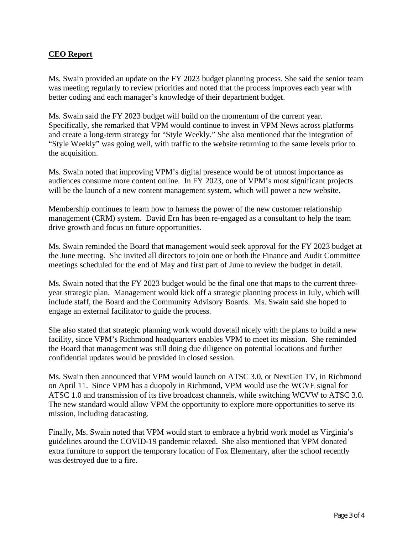# **CEO Report**

Ms. Swain provided an update on the FY 2023 budget planning process. She said the senior team was meeting regularly to review priorities and noted that the process improves each year with better coding and each manager's knowledge of their department budget.

Ms. Swain said the FY 2023 budget will build on the momentum of the current year. Specifically, she remarked that VPM would continue to invest in VPM News across platforms and create a long-term strategy for "Style Weekly." She also mentioned that the integration of "Style Weekly" was going well, with traffic to the website returning to the same levels prior to the acquisition.

Ms. Swain noted that improving VPM's digital presence would be of utmost importance as audiences consume more content online. In FY 2023, one of VPM's most significant projects will be the launch of a new content management system, which will power a new website.

Membership continues to learn how to harness the power of the new customer relationship management (CRM) system. David Ern has been re-engaged as a consultant to help the team drive growth and focus on future opportunities.

Ms. Swain reminded the Board that management would seek approval for the FY 2023 budget at the June meeting. She invited all directors to join one or both the Finance and Audit Committee meetings scheduled for the end of May and first part of June to review the budget in detail.

Ms. Swain noted that the FY 2023 budget would be the final one that maps to the current threeyear strategic plan. Management would kick off a strategic planning process in July, which will include staff, the Board and the Community Advisory Boards. Ms. Swain said she hoped to engage an external facilitator to guide the process.

She also stated that strategic planning work would dovetail nicely with the plans to build a new facility, since VPM's Richmond headquarters enables VPM to meet its mission. She reminded the Board that management was still doing due diligence on potential locations and further confidential updates would be provided in closed session.

Ms. Swain then announced that VPM would launch on ATSC 3.0, or NextGen TV, in Richmond on April 11. Since VPM has a duopoly in Richmond, VPM would use the WCVE signal for ATSC 1.0 and transmission of its five broadcast channels, while switching WCVW to ATSC 3.0. The new standard would allow VPM the opportunity to explore more opportunities to serve its mission, including datacasting.

Finally, Ms. Swain noted that VPM would start to embrace a hybrid work model as Virginia's guidelines around the COVID-19 pandemic relaxed. She also mentioned that VPM donated extra furniture to support the temporary location of Fox Elementary, after the school recently was destroyed due to a fire.